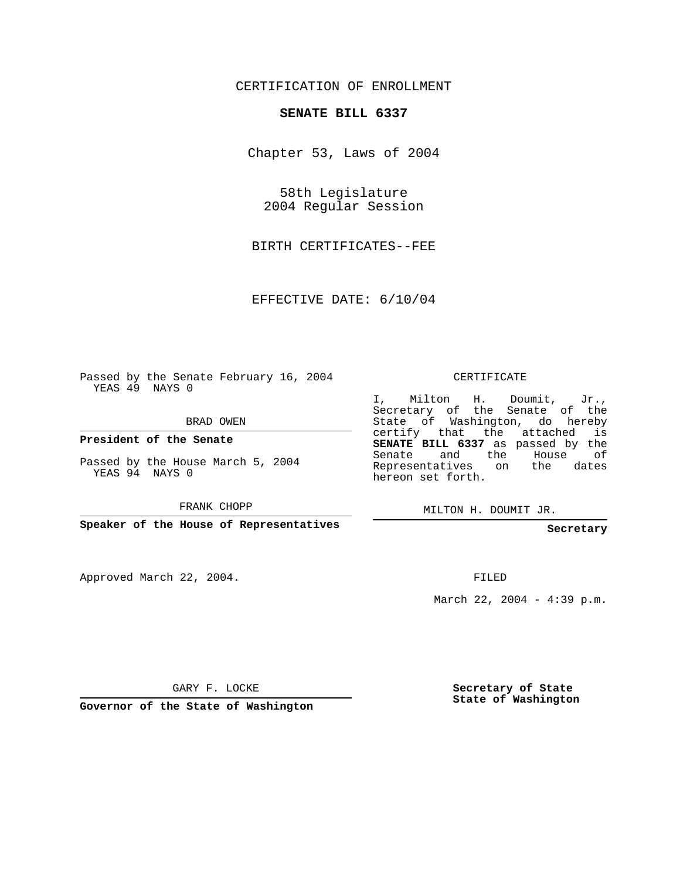## CERTIFICATION OF ENROLLMENT

## **SENATE BILL 6337**

Chapter 53, Laws of 2004

58th Legislature 2004 Regular Session

BIRTH CERTIFICATES--FEE

EFFECTIVE DATE: 6/10/04

Passed by the Senate February 16, 2004 YEAS 49 NAYS 0

BRAD OWEN

**President of the Senate**

Passed by the House March 5, 2004 YEAS 94 NAYS 0

FRANK CHOPP

**Speaker of the House of Representatives**

Approved March 22, 2004.

CERTIFICATE

I, Milton H. Doumit, Jr., Secretary of the Senate of the State of Washington, do hereby certify that the attached is **SENATE BILL 6337** as passed by the Senate and the House of Representatives on the dates hereon set forth.

MILTON H. DOUMIT JR.

**Secretary**

FILED

March 22, 2004 - 4:39 p.m.

GARY F. LOCKE

**Governor of the State of Washington**

**Secretary of State State of Washington**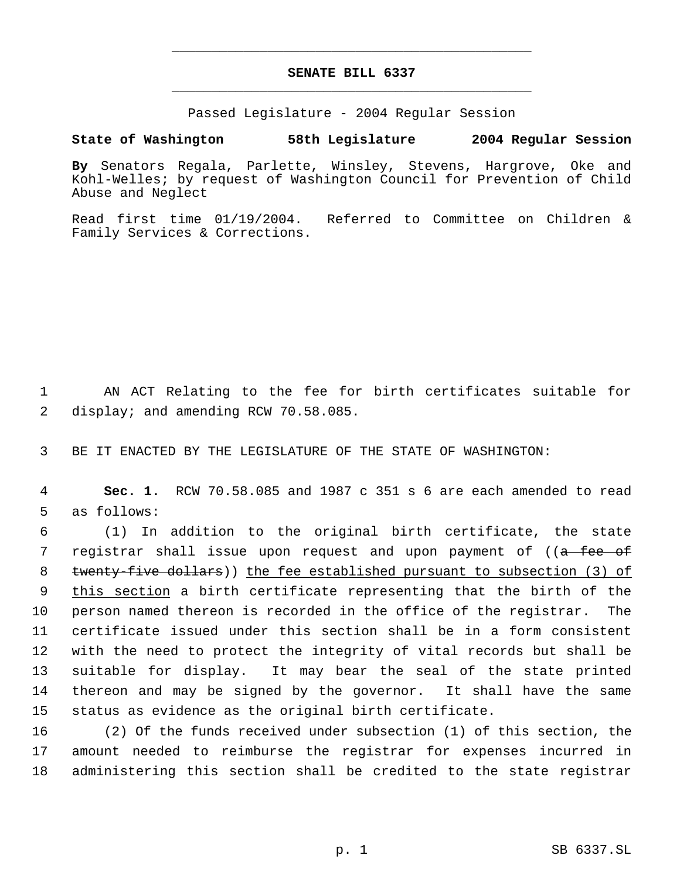## **SENATE BILL 6337** \_\_\_\_\_\_\_\_\_\_\_\_\_\_\_\_\_\_\_\_\_\_\_\_\_\_\_\_\_\_\_\_\_\_\_\_\_\_\_\_\_\_\_\_\_

\_\_\_\_\_\_\_\_\_\_\_\_\_\_\_\_\_\_\_\_\_\_\_\_\_\_\_\_\_\_\_\_\_\_\_\_\_\_\_\_\_\_\_\_\_

Passed Legislature - 2004 Regular Session

## **State of Washington 58th Legislature 2004 Regular Session**

**By** Senators Regala, Parlette, Winsley, Stevens, Hargrove, Oke and Kohl-Welles; by request of Washington Council for Prevention of Child Abuse and Neglect

Read first time 01/19/2004. Referred to Committee on Children & Family Services & Corrections.

 1 AN ACT Relating to the fee for birth certificates suitable for 2 display; and amending RCW 70.58.085.

3 BE IT ENACTED BY THE LEGISLATURE OF THE STATE OF WASHINGTON:

 4 **Sec. 1.** RCW 70.58.085 and 1987 c 351 s 6 are each amended to read 5 as follows:

 (1) In addition to the original birth certificate, the state 7 registrar shall issue upon request and upon payment of ((<del>a fee of</del> 8 twenty-five dollars)) the fee established pursuant to subsection (3) of 9 this section a birth certificate representing that the birth of the person named thereon is recorded in the office of the registrar. The certificate issued under this section shall be in a form consistent with the need to protect the integrity of vital records but shall be suitable for display. It may bear the seal of the state printed thereon and may be signed by the governor. It shall have the same status as evidence as the original birth certificate.

16 (2) Of the funds received under subsection (1) of this section, the 17 amount needed to reimburse the registrar for expenses incurred in 18 administering this section shall be credited to the state registrar